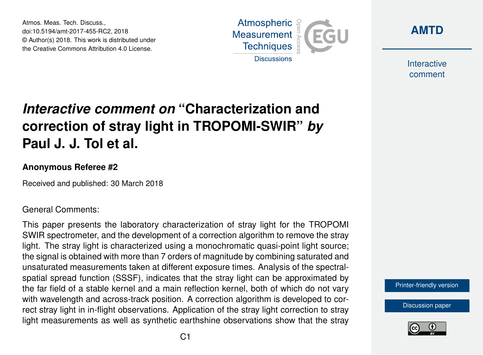Atmos. Meas. Tech. Discuss., doi:10.5194/amt-2017-455-RC2, 2018 © Author(s) 2018. This work is distributed under the Creative Commons Attribution 4.0 License.





Interactive comment

# *Interactive comment on* **"Characterization and correction of stray light in TROPOMI-SWIR"** *by* **Paul J. J. Tol et al.**

#### **Anonymous Referee #2**

Received and published: 30 March 2018

#### General Comments:

This paper presents the laboratory characterization of stray light for the TROPOMI SWIR spectrometer, and the development of a correction algorithm to remove the stray light. The stray light is characterized using a monochromatic quasi-point light source; the signal is obtained with more than 7 orders of magnitude by combining saturated and unsaturated measurements taken at different exposure times. Analysis of the spectralspatial spread function (SSSF), indicates that the stray light can be approximated by the far field of a stable kernel and a main reflection kernel, both of which do not vary with wavelength and across-track position. A correction algorithm is developed to correct stray light in in-flight observations. Application of the stray light correction to stray light measurements as well as synthetic earthshine observations show that the stray

[Printer-friendly version](https://www.atmos-meas-tech-discuss.net/amt-2017-455/amt-2017-455-RC2-print.pdf)

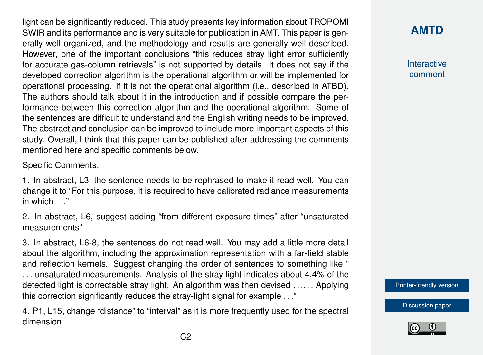light can be significantly reduced. This study presents key information about TROPOMI SWIR and its performance and is very suitable for publication in AMT. This paper is generally well organized, and the methodology and results are generally well described. However, one of the important conclusions "this reduces stray light error sufficiently for accurate gas-column retrievals" is not supported by details. It does not say if the developed correction algorithm is the operational algorithm or will be implemented for operational processing. If it is not the operational algorithm (i.e., described in ATBD). The authors should talk about it in the introduction and if possible compare the performance between this correction algorithm and the operational algorithm. Some of the sentences are difficult to understand and the English writing needs to be improved. The abstract and conclusion can be improved to include more important aspects of this study. Overall, I think that this paper can be published after addressing the comments mentioned here and specific comments below.

Specific Comments:

1. In abstract, L3, the sentence needs to be rephrased to make it read well. You can change it to "For this purpose, it is required to have calibrated radiance measurements in which . . ."

2. In abstract, L6, suggest adding "from different exposure times" after "unsaturated measurements"

3. In abstract, L6-8, the sentences do not read well. You may add a little more detail about the algorithm, including the approximation representation with a far-field stable and reflection kernels. Suggest changing the order of sentences to something like " . . . unsaturated measurements. Analysis of the stray light indicates about 4.4% of the detected light is correctable stray light. An algorithm was then devised . . .. . . Applying this correction significantly reduces the stray-light signal for example . . ."

4. P1, L15, change "distance" to "interval" as it is more frequently used for the spectral dimension

**[AMTD](https://www.atmos-meas-tech-discuss.net/)**

Interactive comment

[Printer-friendly version](https://www.atmos-meas-tech-discuss.net/amt-2017-455/amt-2017-455-RC2-print.pdf)

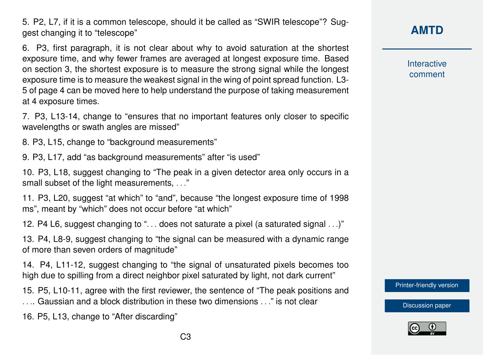5. P2, L7, if it is a common telescope, should it be called as "SWIR telescope"? Suggest changing it to "telescope"

6. P3, first paragraph, it is not clear about why to avoid saturation at the shortest exposure time, and why fewer frames are averaged at longest exposure time. Based on section 3, the shortest exposure is to measure the strong signal while the longest exposure time is to measure the weakest signal in the wing of point spread function. L3- 5 of page 4 can be moved here to help understand the purpose of taking measurement at 4 exposure times.

7. P3, L13-14, change to "ensures that no important features only closer to specific wavelengths or swath angles are missed"

8. P3, L15, change to "background measurements"

9. P3, L17, add "as background measurements" after "is used"

10. P3, L18, suggest changing to "The peak in a given detector area only occurs in a small subset of the light measurements, . . ."

11. P3, L20, suggest "at which" to "and", because "the longest exposure time of 1998 ms", meant by "which" does not occur before "at which"

12. P4 L6, suggest changing to ". . . does not saturate a pixel (a saturated signal . . .)"

13. P4, L8-9, suggest changing to "the signal can be measured with a dynamic range of more than seven orders of magnitude"

14. P4, L11-12, suggest changing to "the signal of unsaturated pixels becomes too high due to spilling from a direct neighbor pixel saturated by light, not dark current"

15. P5, L10-11, agree with the first reviewer, the sentence of "The peak positions and . . .. Gaussian and a block distribution in these two dimensions . . ." is not clear

16. P5, L13, change to "After discarding"

## **[AMTD](https://www.atmos-meas-tech-discuss.net/)**

**Interactive** comment

[Printer-friendly version](https://www.atmos-meas-tech-discuss.net/amt-2017-455/amt-2017-455-RC2-print.pdf)

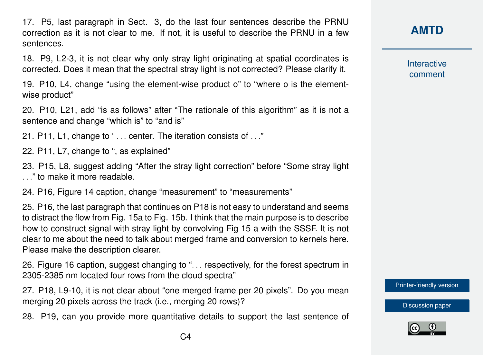17. P5, last paragraph in Sect. 3, do the last four sentences describe the PRNU correction as it is not clear to me. If not, it is useful to describe the PRNU in a few sentences.

18. P9, L2-3, it is not clear why only stray light originating at spatial coordinates is corrected. Does it mean that the spectral stray light is not corrected? Please clarify it.

19. P10, L4, change "using the element-wise product o" to "where o is the elementwise product"

20. P10, L21, add "is as follows" after "The rationale of this algorithm" as it is not a sentence and change "which is" to "and is"

21. P11, L1, change to ' . . . center. The iteration consists of . . ."

22. P11, L7, change to ", as explained"

23. P15, L8, suggest adding "After the stray light correction" before "Some stray light . . ." to make it more readable.

24. P16, Figure 14 caption, change "measurement" to "measurements"

25. P16, the last paragraph that continues on P18 is not easy to understand and seems to distract the flow from Fig. 15a to Fig. 15b. I think that the main purpose is to describe how to construct signal with stray light by convolving Fig 15 a with the SSSF. It is not clear to me about the need to talk about merged frame and conversion to kernels here. Please make the description clearer.

26. Figure 16 caption, suggest changing to ". . . respectively, for the forest spectrum in 2305-2385 nm located four rows from the cloud spectra"

27. P18, L9-10, it is not clear about "one merged frame per 20 pixels". Do you mean merging 20 pixels across the track (i.e., merging 20 rows)?

28. P19, can you provide more quantitative details to support the last sentence of

## **[AMTD](https://www.atmos-meas-tech-discuss.net/)**

Interactive comment

[Printer-friendly version](https://www.atmos-meas-tech-discuss.net/amt-2017-455/amt-2017-455-RC2-print.pdf)